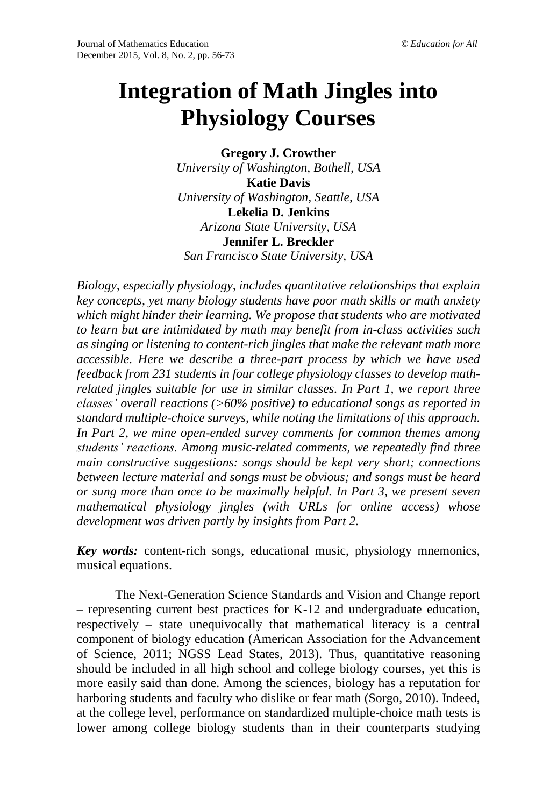# **Integration of Math Jingles into Physiology Courses**

**Gregory J. Crowther** *University of Washington, Bothell, USA* **Katie Davis** *University of Washington, Seattle, USA* **Lekelia D. Jenkins** *Arizona State University, USA* **Jennifer L. Breckler** *San Francisco State University, USA*

*Biology, especially physiology, includes quantitative relationships that explain key concepts, yet many biology students have poor math skills or math anxiety which might hinder their learning. We propose that students who are motivated to learn but are intimidated by math may benefit from in-class activities such as singing or listening to content-rich jingles that make the relevant math more accessible. Here we describe a three-part process by which we have used feedback from 231 students in four college physiology classes to develop mathrelated jingles suitable for use in similar classes. In Part 1, we report three classes' overall reactions (>60% positive) to educational songs as reported in standard multiple-choice surveys, while noting the limitations of this approach. In Part 2, we mine open-ended survey comments for common themes among students' reactions. Among music-related comments, we repeatedly find three main constructive suggestions: songs should be kept very short; connections between lecture material and songs must be obvious; and songs must be heard or sung more than once to be maximally helpful. In Part 3, we present seven mathematical physiology jingles (with URLs for online access) whose development was driven partly by insights from Part 2.*

*Key words:* content-rich songs, educational music, physiology mnemonics, musical equations.

The Next-Generation Science Standards and Vision and Change report – representing current best practices for K-12 and undergraduate education, respectively – state unequivocally that mathematical literacy is a central component of biology education (American Association for the Advancement of Science, 2011; NGSS Lead States, 2013). Thus, quantitative reasoning should be included in all high school and college biology courses, yet this is more easily said than done. Among the sciences, biology has a reputation for harboring students and faculty who dislike or fear math (Sorgo, 2010). Indeed, at the college level, performance on standardized multiple-choice math tests is lower among college biology students than in their counterparts studying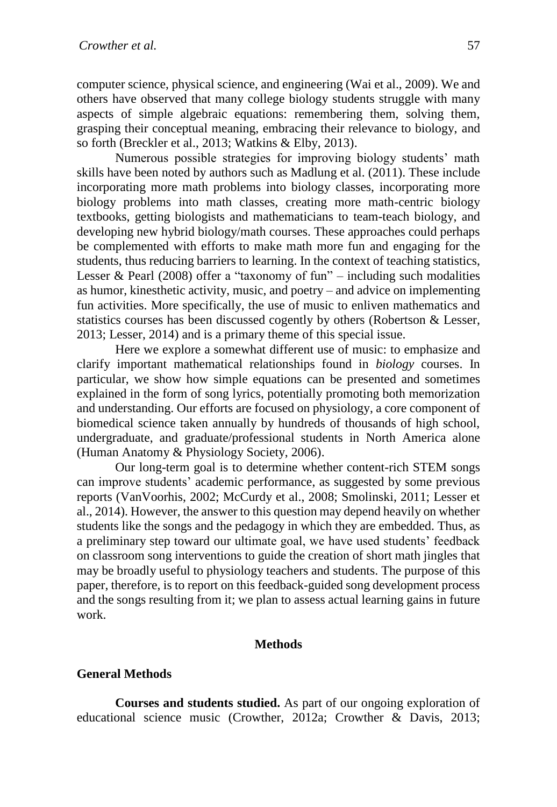computer science, physical science, and engineering (Wai et al., 2009). We and others have observed that many college biology students struggle with many aspects of simple algebraic equations: remembering them, solving them, grasping their conceptual meaning, embracing their relevance to biology, and so forth (Breckler et al., 2013; Watkins & Elby, 2013).

Numerous possible strategies for improving biology students' math skills have been noted by authors such as Madlung et al. (2011). These include incorporating more math problems into biology classes, incorporating more biology problems into math classes, creating more math-centric biology textbooks, getting biologists and mathematicians to team-teach biology, and developing new hybrid biology/math courses. These approaches could perhaps be complemented with efforts to make math more fun and engaging for the students, thus reducing barriers to learning. In the context of teaching statistics, Lesser & Pearl (2008) offer a "taxonomy of fun" – including such modalities as humor, kinesthetic activity, music, and poetry – and advice on implementing fun activities. More specifically, the use of music to enliven mathematics and statistics courses has been discussed cogently by others (Robertson & Lesser, 2013; Lesser, 2014) and is a primary theme of this special issue.

Here we explore a somewhat different use of music: to emphasize and clarify important mathematical relationships found in *biology* courses. In particular, we show how simple equations can be presented and sometimes explained in the form of song lyrics, potentially promoting both memorization and understanding. Our efforts are focused on physiology, a core component of biomedical science taken annually by hundreds of thousands of high school, undergraduate, and graduate/professional students in North America alone (Human Anatomy & Physiology Society, 2006).

Our long-term goal is to determine whether content-rich STEM songs can improve students' academic performance, as suggested by some previous reports (VanVoorhis, 2002; McCurdy et al., 2008; Smolinski, 2011; Lesser et al., 2014). However, the answer to this question may depend heavily on whether students like the songs and the pedagogy in which they are embedded. Thus, as a preliminary step toward our ultimate goal, we have used students' feedback on classroom song interventions to guide the creation of short math jingles that may be broadly useful to physiology teachers and students. The purpose of this paper, therefore, is to report on this feedback-guided song development process and the songs resulting from it; we plan to assess actual learning gains in future work.

### **Methods**

#### **General Methods**

**Courses and students studied.** As part of our ongoing exploration of educational science music (Crowther, 2012a; Crowther & Davis, 2013;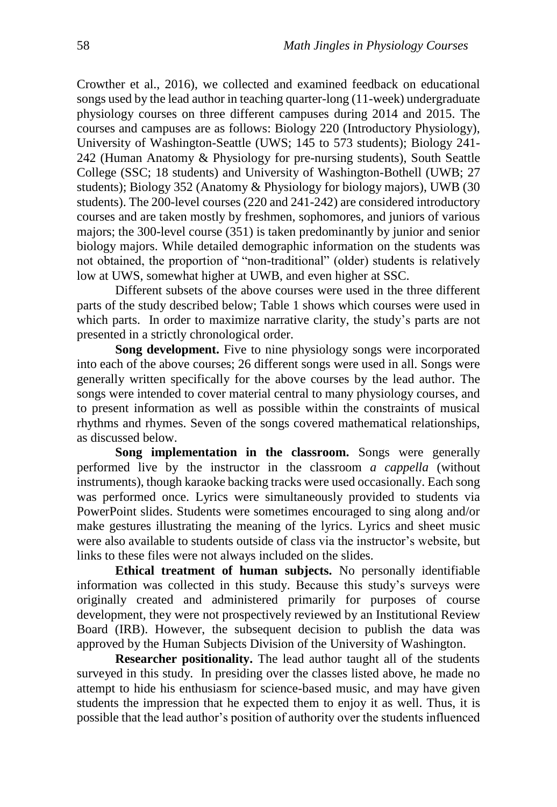Crowther et al., 2016), we collected and examined feedback on educational songs used by the lead author in teaching quarter-long (11-week) undergraduate physiology courses on three different campuses during 2014 and 2015. The courses and campuses are as follows: Biology 220 (Introductory Physiology), University of Washington-Seattle (UWS; 145 to 573 students); Biology 241- 242 (Human Anatomy & Physiology for pre-nursing students), South Seattle College (SSC; 18 students) and University of Washington-Bothell (UWB; 27 students); Biology 352 (Anatomy & Physiology for biology majors), UWB (30 students). The 200-level courses (220 and 241-242) are considered introductory courses and are taken mostly by freshmen, sophomores, and juniors of various majors; the 300-level course (351) is taken predominantly by junior and senior biology majors. While detailed demographic information on the students was not obtained, the proportion of "non-traditional" (older) students is relatively low at UWS, somewhat higher at UWB, and even higher at SSC.

Different subsets of the above courses were used in the three different parts of the study described below; Table 1 shows which courses were used in which parts. In order to maximize narrative clarity, the study's parts are not presented in a strictly chronological order.

**Song development.** Five to nine physiology songs were incorporated into each of the above courses; 26 different songs were used in all. Songs were generally written specifically for the above courses by the lead author. The songs were intended to cover material central to many physiology courses, and to present information as well as possible within the constraints of musical rhythms and rhymes. Seven of the songs covered mathematical relationships, as discussed below.

**Song implementation in the classroom.** Songs were generally performed live by the instructor in the classroom *a cappella* (without instruments), though karaoke backing tracks were used occasionally. Each song was performed once. Lyrics were simultaneously provided to students via PowerPoint slides. Students were sometimes encouraged to sing along and/or make gestures illustrating the meaning of the lyrics. Lyrics and sheet music were also available to students outside of class via the instructor's website, but links to these files were not always included on the slides.

**Ethical treatment of human subjects.** No personally identifiable information was collected in this study. Because this study's surveys were originally created and administered primarily for purposes of course development, they were not prospectively reviewed by an Institutional Review Board (IRB). However, the subsequent decision to publish the data was approved by the Human Subjects Division of the University of Washington.

**Researcher positionality.** The lead author taught all of the students surveyed in this study. In presiding over the classes listed above, he made no attempt to hide his enthusiasm for science-based music, and may have given students the impression that he expected them to enjoy it as well. Thus, it is possible that the lead author's position of authority over the students influenced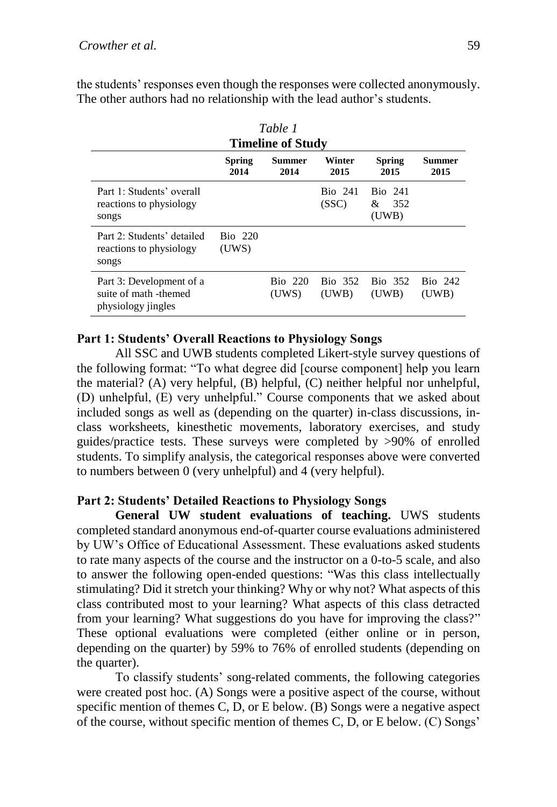| Table 1<br><b>Timeline of Study</b>                                     |                         |                  |                         |                                     |                         |  |  |
|-------------------------------------------------------------------------|-------------------------|------------------|-------------------------|-------------------------------------|-------------------------|--|--|
|                                                                         | <b>Spring</b><br>2014   | Summer<br>2014   | Winter<br>2015          | <b>Spring</b><br>2015               | Summer<br>2015          |  |  |
| Part 1: Students' overall<br>reactions to physiology<br>songs           |                         |                  | <b>Bio</b> 241<br>(SSC) | <b>Bio</b> 241<br>352<br>&<br>(UWB) |                         |  |  |
| Part $2 \cdot$ Students' detailed<br>reactions to physiology<br>songs   | <b>Bio</b> 220<br>(UWS) |                  |                         |                                     |                         |  |  |
| Part 3: Development of a<br>suite of math -themed<br>physiology jingles |                         | Bio 220<br>(UWS) | <b>Bio</b> 352<br>(UWB) | Bio 352<br>(UWB)                    | <b>Bio</b> 242<br>(UWB) |  |  |

the students' responses even though the responses were collected anonymously. The other authors had no relationship with the lead author's students.

# **Part 1: Students' Overall Reactions to Physiology Songs**

All SSC and UWB students completed Likert-style survey questions of the following format: "To what degree did [course component] help you learn the material? (A) very helpful, (B) helpful, (C) neither helpful nor unhelpful, (D) unhelpful, (E) very unhelpful." Course components that we asked about included songs as well as (depending on the quarter) in-class discussions, inclass worksheets, kinesthetic movements, laboratory exercises, and study guides/practice tests. These surveys were completed by >90% of enrolled students. To simplify analysis, the categorical responses above were converted to numbers between 0 (very unhelpful) and 4 (very helpful).

# **Part 2: Students' Detailed Reactions to Physiology Songs**

**General UW student evaluations of teaching.** UWS students completed standard anonymous end-of-quarter course evaluations administered by UW's Office of Educational Assessment. These evaluations asked students to rate many aspects of the course and the instructor on a 0-to-5 scale, and also to answer the following open-ended questions: "Was this class intellectually stimulating? Did it stretch your thinking? Why or why not? What aspects of this class contributed most to your learning? What aspects of this class detracted from your learning? What suggestions do you have for improving the class?" These optional evaluations were completed (either online or in person, depending on the quarter) by 59% to 76% of enrolled students (depending on the quarter).

To classify students' song-related comments, the following categories were created post hoc. (A) Songs were a positive aspect of the course, without specific mention of themes C, D, or E below. (B) Songs were a negative aspect of the course, without specific mention of themes C, D, or E below. (C) Songs'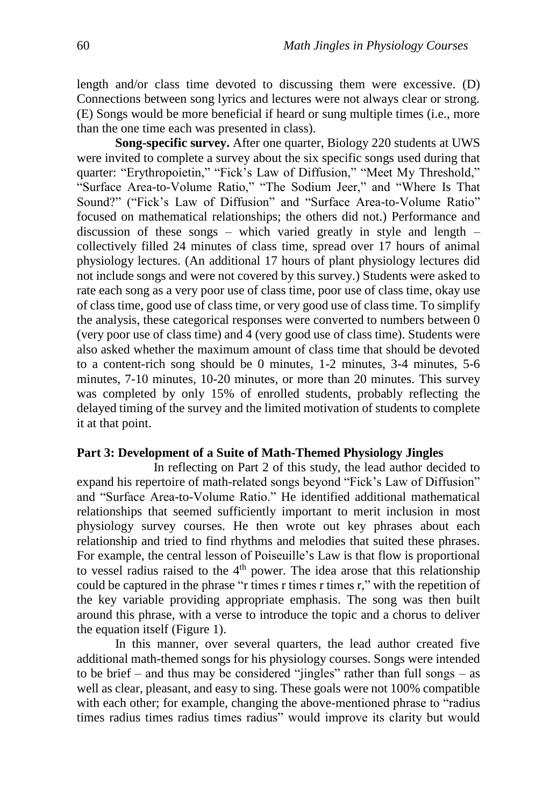length and/or class time devoted to discussing them were excessive. (D) Connections between song lyrics and lectures were not always clear or strong. (E) Songs would be more beneficial if heard or sung multiple times (i.e., more than the one time each was presented in class).

**Song-specific survey.** After one quarter, Biology 220 students at UWS were invited to complete a survey about the six specific songs used during that quarter: "Erythropoietin," "Fick's Law of Diffusion," "Meet My Threshold," "Surface Area-to-Volume Ratio," "The Sodium Jeer," and "Where Is That Sound?" ("Fick's Law of Diffusion" and "Surface Area-to-Volume Ratio" focused on mathematical relationships; the others did not.) Performance and discussion of these songs – which varied greatly in style and length – collectively filled 24 minutes of class time, spread over 17 hours of animal physiology lectures. (An additional 17 hours of plant physiology lectures did not include songs and were not covered by this survey.) Students were asked to rate each song as a very poor use of class time, poor use of class time, okay use of class time, good use of class time, or very good use of class time. To simplify the analysis, these categorical responses were converted to numbers between 0 (very poor use of class time) and 4 (very good use of class time). Students were also asked whether the maximum amount of class time that should be devoted to a content-rich song should be 0 minutes, 1-2 minutes, 3-4 minutes, 5-6 minutes, 7-10 minutes, 10-20 minutes, or more than 20 minutes. This survey was completed by only 15% of enrolled students, probably reflecting the delayed timing of the survey and the limited motivation of students to complete it at that point.

## **Part 3: Development of a Suite of Math-Themed Physiology Jingles**

In reflecting on Part 2 of this study, the lead author decided to expand his repertoire of math-related songs beyond "Fick's Law of Diffusion" and "Surface Area-to-Volume Ratio." He identified additional mathematical relationships that seemed sufficiently important to merit inclusion in most physiology survey courses. He then wrote out key phrases about each relationship and tried to find rhythms and melodies that suited these phrases. For example, the central lesson of Poiseuille's Law is that flow is proportional to vessel radius raised to the 4<sup>th</sup> power. The idea arose that this relationship could be captured in the phrase "r times r times r times r," with the repetition of the key variable providing appropriate emphasis. The song was then built around this phrase, with a verse to introduce the topic and a chorus to deliver the equation itself (Figure 1).

In this manner, over several quarters, the lead author created five additional math-themed songs for his physiology courses. Songs were intended to be brief – and thus may be considered "jingles" rather than full songs – as well as clear, pleasant, and easy to sing. These goals were not 100% compatible with each other; for example, changing the above-mentioned phrase to "radius" times radius times radius times radius" would improve its clarity but would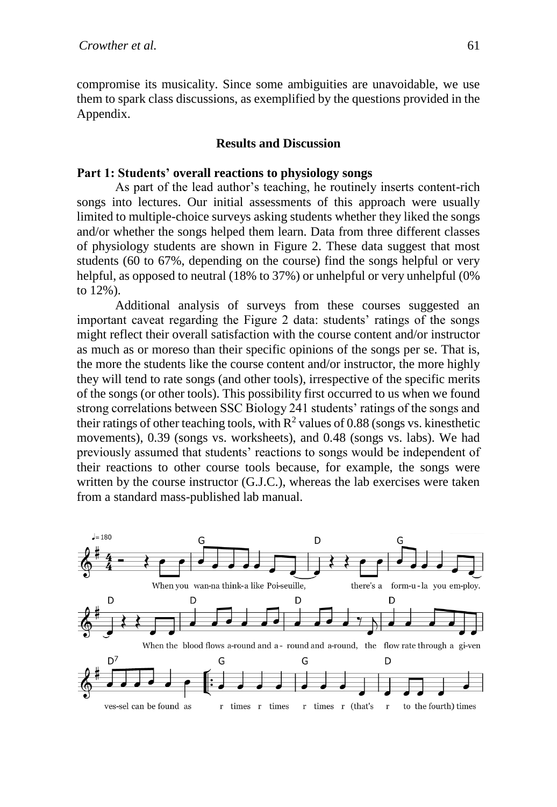compromise its musicality. Since some ambiguities are unavoidable, we use them to spark class discussions, as exemplified by the questions provided in the Appendix.

#### **Results and Discussion**

#### **Part 1: Students' overall reactions to physiology songs**

As part of the lead author's teaching, he routinely inserts content-rich songs into lectures. Our initial assessments of this approach were usually limited to multiple-choice surveys asking students whether they liked the songs and/or whether the songs helped them learn. Data from three different classes of physiology students are shown in Figure 2. These data suggest that most students (60 to 67%, depending on the course) find the songs helpful or very helpful, as opposed to neutral (18% to 37%) or unhelpful or very unhelpful (0%) to 12%).

Additional analysis of surveys from these courses suggested an important caveat regarding the Figure 2 data: students' ratings of the songs might reflect their overall satisfaction with the course content and/or instructor as much as or moreso than their specific opinions of the songs per se. That is, the more the students like the course content and/or instructor, the more highly they will tend to rate songs (and other tools), irrespective of the specific merits of the songs (or other tools). This possibility first occurred to us when we found strong correlations between SSC Biology 241 students' ratings of the songs and their ratings of other teaching tools, with  $R^2$  values of 0.88 (songs vs. kinesthetic movements), 0.39 (songs vs. worksheets), and 0.48 (songs vs. labs). We had previously assumed that students' reactions to songs would be independent of their reactions to other course tools because, for example, the songs were written by the course instructor (G.J.C.), whereas the lab exercises were taken from a standard mass-published lab manual.

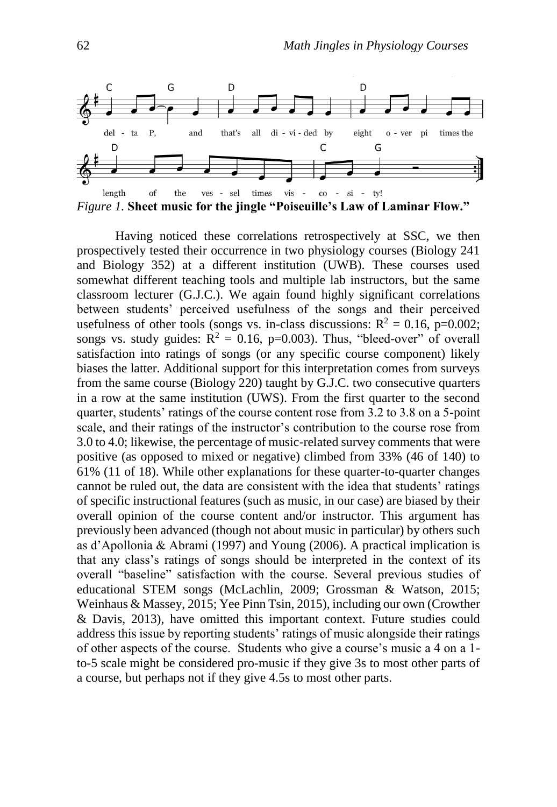

*Figure 1.* **Sheet music for the jingle "Poiseuille's Law of Laminar Flow."**

Having noticed these correlations retrospectively at SSC, we then prospectively tested their occurrence in two physiology courses (Biology 241 and Biology 352) at a different institution (UWB). These courses used somewhat different teaching tools and multiple lab instructors, but the same classroom lecturer (G.J.C.). We again found highly significant correlations between students' perceived usefulness of the songs and their perceived usefulness of other tools (songs vs. in-class discussions:  $R^2 = 0.16$ , p=0.002; songs vs. study guides:  $R^2 = 0.16$ , p=0.003). Thus, "bleed-over" of overall satisfaction into ratings of songs (or any specific course component) likely biases the latter. Additional support for this interpretation comes from surveys from the same course (Biology 220) taught by G.J.C. two consecutive quarters in a row at the same institution (UWS). From the first quarter to the second quarter, students' ratings of the course content rose from 3.2 to 3.8 on a 5-point scale, and their ratings of the instructor's contribution to the course rose from 3.0 to 4.0; likewise, the percentage of music-related survey comments that were positive (as opposed to mixed or negative) climbed from 33% (46 of 140) to 61% (11 of 18). While other explanations for these quarter-to-quarter changes cannot be ruled out, the data are consistent with the idea that students' ratings of specific instructional features (such as music, in our case) are biased by their overall opinion of the course content and/or instructor. This argument has previously been advanced (though not about music in particular) by others such as d'Apollonia & Abrami (1997) and Young (2006). A practical implication is that any class's ratings of songs should be interpreted in the context of its overall "baseline" satisfaction with the course. Several previous studies of educational STEM songs (McLachlin, 2009; Grossman & Watson, 2015; Weinhaus & Massey, 2015; Yee Pinn Tsin, 2015), including our own (Crowther & Davis, 2013), have omitted this important context. Future studies could address this issue by reporting students' ratings of music alongside their ratings of other aspects of the course. Students who give a course's music a 4 on a 1 to-5 scale might be considered pro-music if they give 3s to most other parts of a course, but perhaps not if they give 4.5s to most other parts.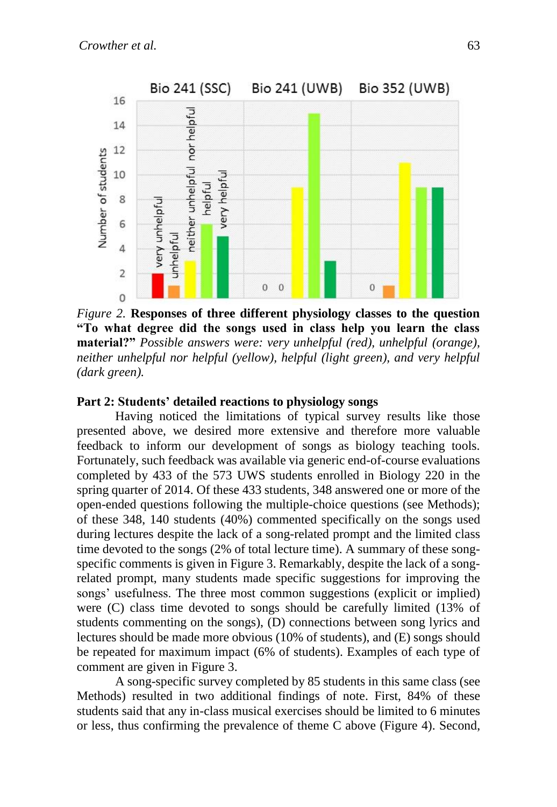

*Figure 2.* **Responses of three different physiology classes to the question "To what degree did the songs used in class help you learn the class material?"** *Possible answers were: very unhelpful (red), unhelpful (orange), neither unhelpful nor helpful (yellow), helpful (light green), and very helpful (dark green).*

## **Part 2: Students' detailed reactions to physiology songs**

Having noticed the limitations of typical survey results like those presented above, we desired more extensive and therefore more valuable feedback to inform our development of songs as biology teaching tools. Fortunately, such feedback was available via generic end-of-course evaluations completed by 433 of the 573 UWS students enrolled in Biology 220 in the spring quarter of 2014. Of these 433 students, 348 answered one or more of the open-ended questions following the multiple-choice questions (see Methods); of these 348, 140 students (40%) commented specifically on the songs used during lectures despite the lack of a song-related prompt and the limited class time devoted to the songs (2% of total lecture time). A summary of these songspecific comments is given in Figure 3. Remarkably, despite the lack of a songrelated prompt, many students made specific suggestions for improving the songs' usefulness. The three most common suggestions (explicit or implied) were (C) class time devoted to songs should be carefully limited (13% of students commenting on the songs), (D) connections between song lyrics and lectures should be made more obvious (10% of students), and (E) songs should be repeated for maximum impact (6% of students). Examples of each type of comment are given in Figure 3.

A song-specific survey completed by 85 students in this same class (see Methods) resulted in two additional findings of note. First, 84% of these students said that any in-class musical exercises should be limited to 6 minutes or less, thus confirming the prevalence of theme C above (Figure 4). Second,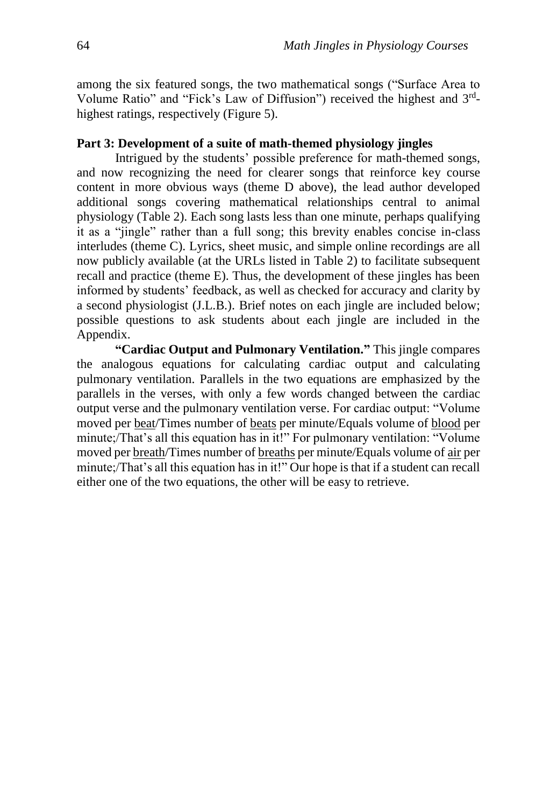among the six featured songs, the two mathematical songs ("Surface Area to Volume Ratio" and "Fick's Law of Diffusion") received the highest and 3<sup>rd</sup>highest ratings, respectively (Figure 5).

#### **Part 3: Development of a suite of math-themed physiology jingles**

Intrigued by the students' possible preference for math-themed songs, and now recognizing the need for clearer songs that reinforce key course content in more obvious ways (theme D above), the lead author developed additional songs covering mathematical relationships central to animal physiology (Table 2). Each song lasts less than one minute, perhaps qualifying it as a "jingle" rather than a full song; this brevity enables concise in-class interludes (theme C). Lyrics, sheet music, and simple online recordings are all now publicly available (at the URLs listed in Table 2) to facilitate subsequent recall and practice (theme E). Thus, the development of these jingles has been informed by students' feedback, as well as checked for accuracy and clarity by a second physiologist (J.L.B.). Brief notes on each jingle are included below; possible questions to ask students about each jingle are included in the Appendix.

**"Cardiac Output and Pulmonary Ventilation."** This jingle compares the analogous equations for calculating cardiac output and calculating pulmonary ventilation. Parallels in the two equations are emphasized by the parallels in the verses, with only a few words changed between the cardiac output verse and the pulmonary ventilation verse. For cardiac output: "Volume moved per beat/Times number of beats per minute/Equals volume of blood per minute;/That's all this equation has in it!" For pulmonary ventilation: "Volume moved per breath/Times number of breaths per minute/Equals volume of air per minute;/That's all this equation has in it!" Our hope is that if a student can recall either one of the two equations, the other will be easy to retrieve.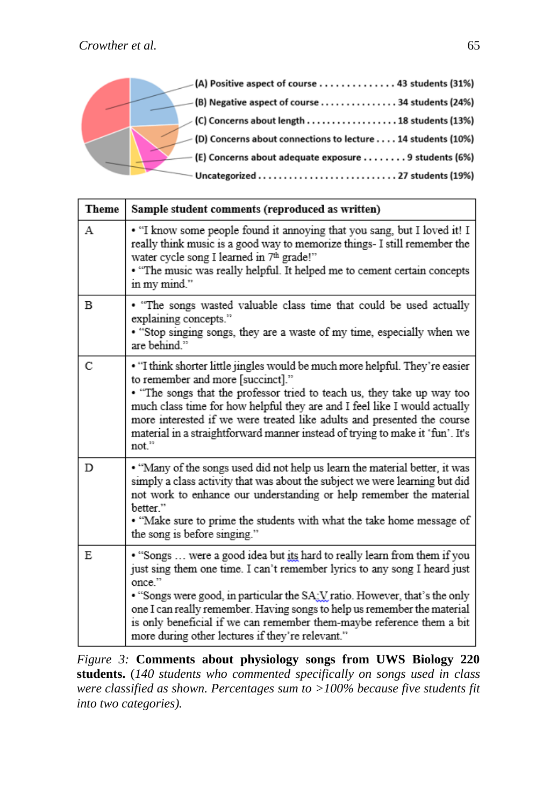

| <b>Theme</b> | Sample student comments (reproduced as written)                                                                                                                                                                                                                                                                                                                                                                                                         |  |  |  |
|--------------|---------------------------------------------------------------------------------------------------------------------------------------------------------------------------------------------------------------------------------------------------------------------------------------------------------------------------------------------------------------------------------------------------------------------------------------------------------|--|--|--|
| А            | . "I know some people found it annoying that you sang, but I loved it! I<br>really think music is a good way to memorize things- I still remember the<br>water cycle song I learned in 7th grade!"<br>• "The music was really helpful. It helped me to cement certain concepts<br>in my mind."                                                                                                                                                          |  |  |  |
| В            | • "The songs wasted valuable class time that could be used actually<br>explaining concepts."<br>• "Stop singing songs, they are a waste of my time, especially when we<br>are behind."                                                                                                                                                                                                                                                                  |  |  |  |
| C            | • "I think shorter little jingles would be much more helpful. They're easier<br>to remember and more [succinct]."<br>• "The songs that the professor tried to teach us, they take up way too<br>much class time for how helpful they are and I feel like I would actually<br>more interested if we were treated like adults and presented the course<br>material in a straightforward manner instead of trying to make it 'fun'. It's<br>not."          |  |  |  |
| D            | • "Many of the songs used did not help us learn the material better, it was<br>simply a class activity that was about the subject we were learning but did<br>not work to enhance our understanding or help remember the material<br>better."<br>. "Make sure to prime the students with what the take home message of<br>the song is before singing."                                                                                                  |  |  |  |
| E            | . "Songs  were a good idea but its hard to really learn from them if you<br>just sing them one time. I can't remember lyrics to any song I heard just<br>once."<br>• "Songs were good, in particular the SA: V ratio. However, that's the only<br>one I can really remember. Having songs to help us remember the material<br>is only beneficial if we can remember them-maybe reference them a bit<br>more during other lectures if they're relevant." |  |  |  |

*Figure 3:* **Comments about physiology songs from UWS Biology 220 students.** (*140 students who commented specifically on songs used in class were classified as shown. Percentages sum to >100% because five students fit into two categories).*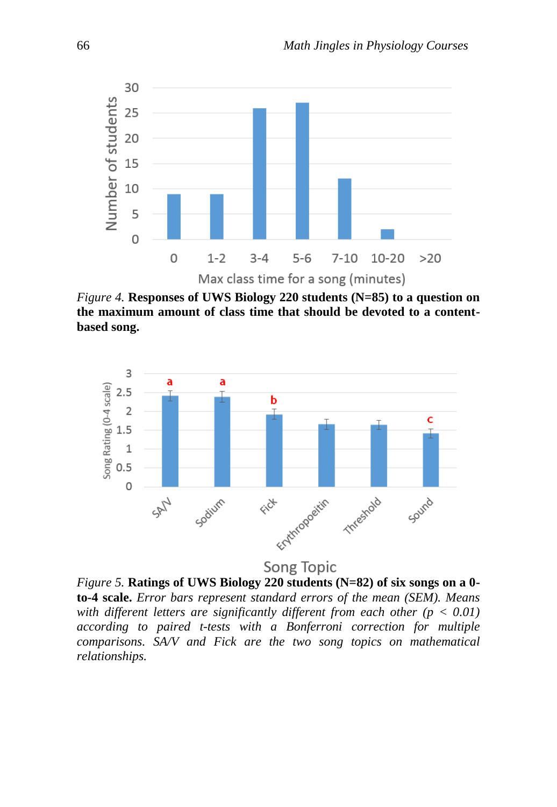

*Figure 4.* **Responses of UWS Biology 220 students (N=85) to a question on the maximum amount of class time that should be devoted to a contentbased song.**



Song Topic

*Figure 5.* **Ratings of UWS Biology 220 students (N=82) of six songs on a 0 to-4 scale.** *Error bars represent standard errors of the mean (SEM). Means with different letters are significantly different from each other (p < 0.01) according to paired t-tests with a Bonferroni correction for multiple comparisons. SA/V and Fick are the two song topics on mathematical relationships.*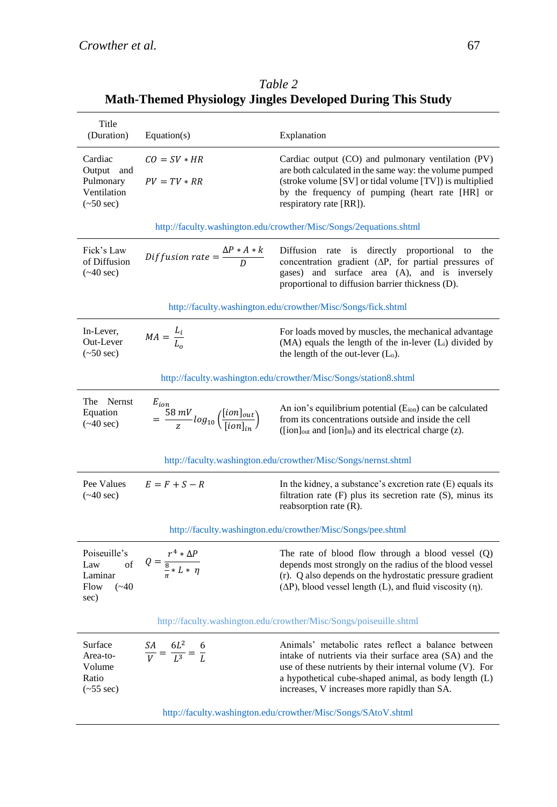|                                                                               |                                                                                                                    | $\mathbf{u}$ represents the property complete $\mathbf{v}$ and $\mathbf{v}$ and $\mathbf{v}$ and $\mathbf{v}$                                                                                                                                                                      |  |  |  |
|-------------------------------------------------------------------------------|--------------------------------------------------------------------------------------------------------------------|------------------------------------------------------------------------------------------------------------------------------------------------------------------------------------------------------------------------------------------------------------------------------------|--|--|--|
| Title<br>(Duration)                                                           | Equation(s)                                                                                                        | Explanation                                                                                                                                                                                                                                                                        |  |  |  |
| Cardiac<br>Output and<br>Pulmonary<br>Ventilation<br>$(\sim 50 \text{ sec})$  | $CO = SV * HR$<br>$PV = TV * RR$                                                                                   | Cardiac output (CO) and pulmonary ventilation (PV)<br>are both calculated in the same way: the volume pumped<br>(stroke volume [SV] or tidal volume [TV]) is multiplied<br>by the frequency of pumping (heart rate [HR] or<br>respiratory rate [RR]).                              |  |  |  |
| http://faculty.washington.edu/crowther/Misc/Songs/2equations.shtml            |                                                                                                                    |                                                                                                                                                                                                                                                                                    |  |  |  |
| Fick's Law<br>of Diffusion<br>$(\sim 40 \text{ sec})$                         | Diffusion rate $=\frac{\Delta P * A * k}{D}$                                                                       | Diffusion rate is directly proportional to the<br>concentration gradient $(\Delta P,$ for partial pressures of<br>gases) and surface area (A), and is inversely<br>proportional to diffusion barrier thickness (D).                                                                |  |  |  |
| http://faculty.washington.edu/crowther/Misc/Songs/fick.shtml                  |                                                                                                                    |                                                                                                                                                                                                                                                                                    |  |  |  |
| In-Lever,<br>Out-Lever<br>$(\sim 50 \text{ sec})$                             | $MA = \frac{L_i}{L_o}$                                                                                             | For loads moved by muscles, the mechanical advantage<br>(MA) equals the length of the in-lever (L <sub>i</sub> ) divided by<br>the length of the out-lever $(L_0)$ .                                                                                                               |  |  |  |
| http://faculty.washington.edu/crowther/Misc/Songs/station8.shtml              |                                                                                                                    |                                                                                                                                                                                                                                                                                    |  |  |  |
| The Nernst<br>Equation<br>$(*40 sec)$                                         | $\begin{array}{l} E_{ion} \\ = \frac{58 \, mV}{z} log_{10}\left(\frac{[ion]_{out}}{[ion]_{in}}\right) \end{array}$ | An ion's equilibrium potential (E <sub>ion</sub> ) can be calculated<br>from its concentrations outside and inside the cell<br>([ion] <sub>out</sub> and [ion] <sub>in</sub> ) and its electrical charge (z).                                                                      |  |  |  |
| http://faculty.washington.edu/crowther/Misc/Songs/nernst.shtml                |                                                                                                                    |                                                                                                                                                                                                                                                                                    |  |  |  |
| Pee Values<br>$(\sim 40 \text{ sec})$                                         | $E = F + S - R$                                                                                                    | In the kidney, a substance's excretion rate $(E)$ equals its<br>filtration rate $(F)$ plus its secretion rate $(S)$ , minus its<br>reabsorption rate (R).                                                                                                                          |  |  |  |
| http://faculty.washington.edu/crowther/Misc/Songs/pee.shtml                   |                                                                                                                    |                                                                                                                                                                                                                                                                                    |  |  |  |
| Poiseuille's<br>$_{\mathrm{of}}$<br>Law<br>Laminar<br>$(*40)$<br>Flow<br>sec) | $Q = \frac{r^4 * \Delta P}{\frac{8}{5} * L * \eta}$                                                                | The rate of blood flow through a blood vessel $(Q)$<br>depends most strongly on the radius of the blood vessel<br>(r). Q also depends on the hydrostatic pressure gradient<br>$(\Delta P)$ , blood vessel length (L), and fluid viscosity (n).                                     |  |  |  |
| http://faculty.washington.edu/crowther/Misc/Songs/poiseuille.shtml            |                                                                                                                    |                                                                                                                                                                                                                                                                                    |  |  |  |
| Surface<br>Area-to-<br>Volume<br>Ratio<br>$(-55 \text{ sec})$                 | $rac{SA}{V} = \frac{6L^2}{L^3} = \frac{6}{L}$                                                                      | Animals' metabolic rates reflect a balance between<br>intake of nutrients via their surface area (SA) and the<br>use of these nutrients by their internal volume (V). For<br>a hypothetical cube-shaped animal, as body length (L)<br>increases, V increases more rapidly than SA. |  |  |  |

*Table 2* **Math-Themed Physiology Jingles Developed During This Study**

<http://faculty.washington.edu/crowther/Misc/Songs/SAtoV.shtml>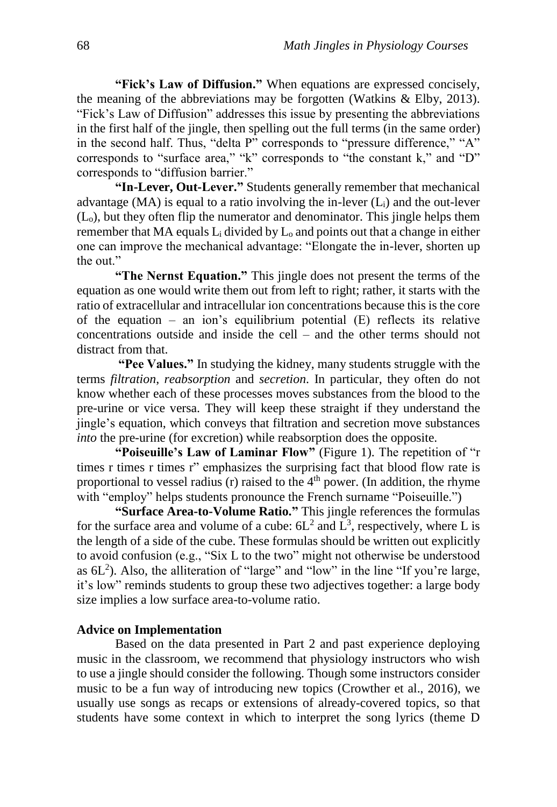**"Fick's Law of Diffusion."** When equations are expressed concisely, the meaning of the abbreviations may be forgotten (Watkins  $\&$  Elby, 2013). "Fick's Law of Diffusion" addresses this issue by presenting the abbreviations in the first half of the jingle, then spelling out the full terms (in the same order) in the second half. Thus, "delta P" corresponds to "pressure difference," "A" corresponds to "surface area," "k" corresponds to "the constant k," and "D" corresponds to "diffusion barrier."

**"In-Lever, Out-Lever."** Students generally remember that mechanical advantage (MA) is equal to a ratio involving the in-lever  $(L<sub>i</sub>)$  and the out-lever (Lo), but they often flip the numerator and denominator. This jingle helps them remember that MA equals  $L_i$  divided by  $L_0$  and points out that a change in either one can improve the mechanical advantage: "Elongate the in-lever, shorten up the out."

**"The Nernst Equation."** This jingle does not present the terms of the equation as one would write them out from left to right; rather, it starts with the ratio of extracellular and intracellular ion concentrations because this is the core of the equation – an ion's equilibrium potential  $(E)$  reflects its relative concentrations outside and inside the cell – and the other terms should not distract from that.

**"Pee Values."** In studying the kidney, many students struggle with the terms *filtration*, *reabsorption* and *secretion*. In particular, they often do not know whether each of these processes moves substances from the blood to the pre-urine or vice versa. They will keep these straight if they understand the jingle's equation, which conveys that filtration and secretion move substances *into* the pre-urine (for excretion) while reabsorption does the opposite.

**"Poiseuille's Law of Laminar Flow"** (Figure 1). The repetition of "r times r times r times r" emphasizes the surprising fact that blood flow rate is proportional to vessel radius (r) raised to the  $4<sup>th</sup>$  power. (In addition, the rhyme with "employ" helps students pronounce the French surname "Poiseuille.")

**"Surface Area-to-Volume Ratio."** This jingle references the formulas for the surface area and volume of a cube:  $6L^2$  and  $L^3$ , respectively, where L is the length of a side of the cube. These formulas should be written out explicitly to avoid confusion (e.g., "Six L to the two" might not otherwise be understood as  $6L^2$ ). Also, the alliteration of "large" and "low" in the line "If you're large, it's low" reminds students to group these two adjectives together: a large body size implies a low surface area-to-volume ratio.

#### **Advice on Implementation**

Based on the data presented in Part 2 and past experience deploying music in the classroom, we recommend that physiology instructors who wish to use a jingle should consider the following. Though some instructors consider music to be a fun way of introducing new topics (Crowther et al., 2016), we usually use songs as recaps or extensions of already-covered topics, so that students have some context in which to interpret the song lyrics (theme D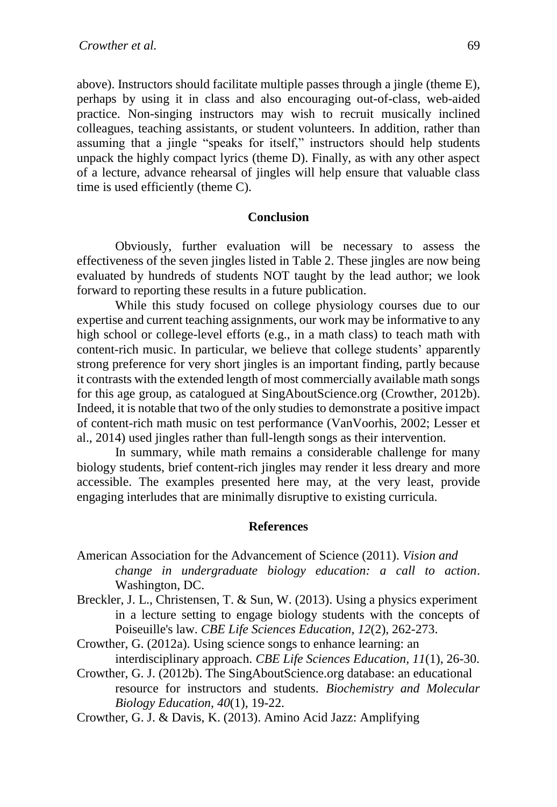above). Instructors should facilitate multiple passes through a jingle (theme E), perhaps by using it in class and also encouraging out-of-class, web-aided practice. Non-singing instructors may wish to recruit musically inclined colleagues, teaching assistants, or student volunteers. In addition, rather than assuming that a jingle "speaks for itself," instructors should help students unpack the highly compact lyrics (theme D). Finally, as with any other aspect of a lecture, advance rehearsal of jingles will help ensure that valuable class time is used efficiently (theme C).

#### **Conclusion**

Obviously, further evaluation will be necessary to assess the effectiveness of the seven jingles listed in Table 2. These jingles are now being evaluated by hundreds of students NOT taught by the lead author; we look forward to reporting these results in a future publication.

While this study focused on college physiology courses due to our expertise and current teaching assignments, our work may be informative to any high school or college-level efforts (e.g., in a math class) to teach math with content-rich music. In particular, we believe that college students' apparently strong preference for very short jingles is an important finding, partly because it contrasts with the extended length of most commercially available math songs for this age group, as catalogued at SingAboutScience.org (Crowther, 2012b). Indeed, it is notable that two of the only studies to demonstrate a positive impact of content-rich math music on test performance (VanVoorhis, 2002; Lesser et al., 2014) used jingles rather than full-length songs as their intervention.

In summary, while math remains a considerable challenge for many biology students, brief content-rich jingles may render it less dreary and more accessible. The examples presented here may, at the very least, provide engaging interludes that are minimally disruptive to existing curricula.

#### **References**

- American Association for the Advancement of Science (2011). *Vision and change in undergraduate biology education: a call to action*. Washington, DC.
- Breckler, J. L., Christensen, T. & Sun, W. (2013). Using a physics experiment in a lecture setting to engage biology students with the concepts of Poiseuille's law. *CBE Life Sciences Education, 12*(2), 262-273.
- Crowther, G. (2012a). Using science songs to enhance learning: an interdisciplinary approach. *CBE Life Sciences Education, 11*(1), 26-30.
- Crowther, G. J. (2012b). The SingAboutScience.org database: an educational resource for instructors and students. *Biochemistry and Molecular Biology Education, 40*(1), 19-22.
- Crowther, G. J. & Davis, K. (2013). Amino Acid Jazz: Amplifying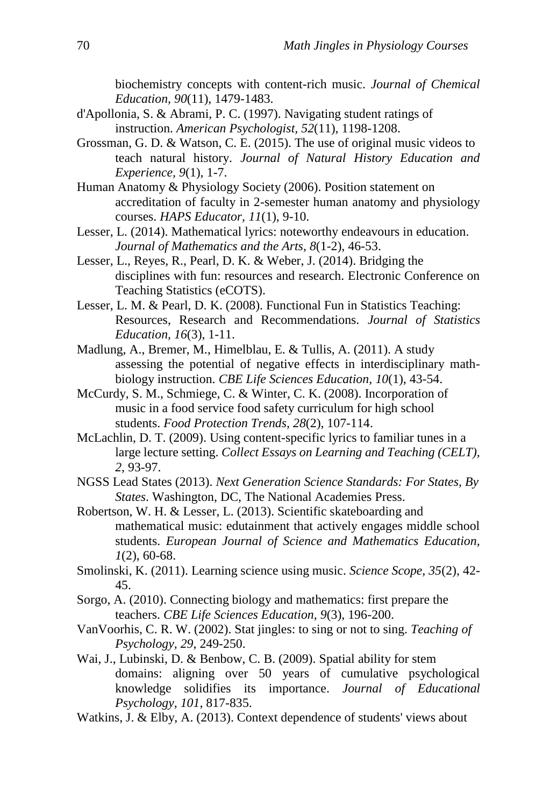biochemistry concepts with content-rich music. *Journal of Chemical Education, 90*(11), 1479-1483.

- d'Apollonia, S. & Abrami, P. C. (1997). Navigating student ratings of instruction. *American Psychologist, 52*(11), 1198-1208.
- Grossman, G. D. & Watson, C. E. (2015). The use of original music videos to teach natural history. *Journal of Natural History Education and Experience, 9*(1), 1-7.
- Human Anatomy & Physiology Society (2006). Position statement on accreditation of faculty in 2-semester human anatomy and physiology courses. *HAPS Educator, 11*(1), 9-10.
- Lesser, L. (2014). Mathematical lyrics: noteworthy endeavours in education. *Journal of Mathematics and the Arts, 8*(1-2), 46-53.
- Lesser, L., Reyes, R., Pearl, D. K. & Weber, J. (2014). Bridging the disciplines with fun: resources and research. Electronic Conference on Teaching Statistics (eCOTS).
- Lesser, L. M. & Pearl, D. K. (2008). Functional Fun in Statistics Teaching: Resources, Research and Recommendations. *Journal of Statistics Education, 16*(3), 1-11.
- Madlung, A., Bremer, M., Himelblau, E. & Tullis, A. (2011). A study assessing the potential of negative effects in interdisciplinary mathbiology instruction. *CBE Life Sciences Education, 10*(1), 43-54.
- McCurdy, S. M., Schmiege, C. & Winter, C. K. (2008). Incorporation of music in a food service food safety curriculum for high school students. *Food Protection Trends, 28*(2), 107-114.
- McLachlin, D. T. (2009). Using content-specific lyrics to familiar tunes in a large lecture setting. *Collect Essays on Learning and Teaching (CELT), 2*, 93-97.
- NGSS Lead States (2013). *Next Generation Science Standards: For States, By States*. Washington, DC, The National Academies Press.
- Robertson, W. H. & Lesser, L. (2013). Scientific skateboarding and mathematical music: edutainment that actively engages middle school students. *European Journal of Science and Mathematics Education, 1*(2), 60-68.
- Smolinski, K. (2011). Learning science using music. *Science Scope, 35*(2), 42- 45.
- Sorgo, A. (2010). Connecting biology and mathematics: first prepare the teachers. *CBE Life Sciences Education, 9*(3), 196-200.
- VanVoorhis, C. R. W. (2002). Stat jingles: to sing or not to sing. *Teaching of Psychology, 29*, 249-250.
- Wai, J., Lubinski, D. & Benbow, C. B. (2009). Spatial ability for stem domains: aligning over 50 years of cumulative psychological knowledge solidifies its importance. *Journal of Educational Psychology, 101*, 817-835.
- Watkins, J. & Elby, A. (2013). Context dependence of students' views about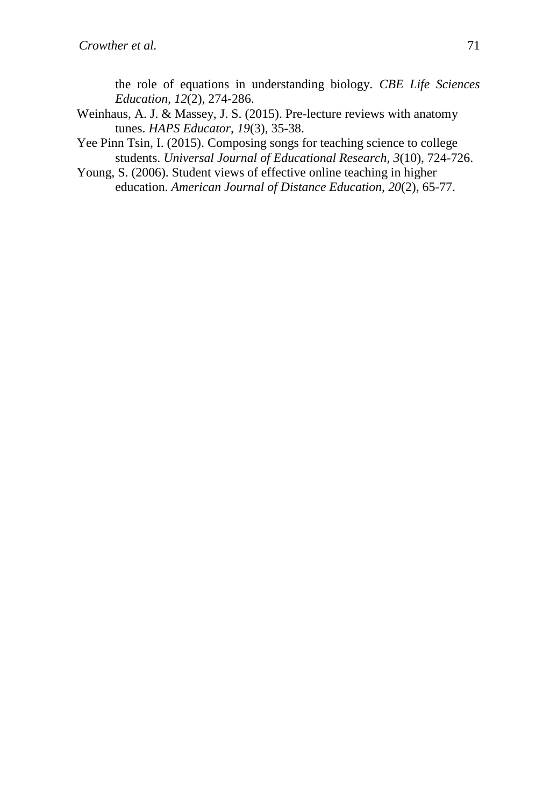the role of equations in understanding biology. *CBE Life Sciences Education, 12*(2), 274-286.

- Weinhaus, A. J. & Massey, J. S. (2015). Pre-lecture reviews with anatomy tunes. *HAPS Educator, 19*(3), 35-38.
- Yee Pinn Tsin, I. (2015). Composing songs for teaching science to college students. *Universal Journal of Educational Research, 3*(10), 724-726.
- Young, S. (2006). Student views of effective online teaching in higher education. *American Journal of Distance Education, 20*(2), 65-77.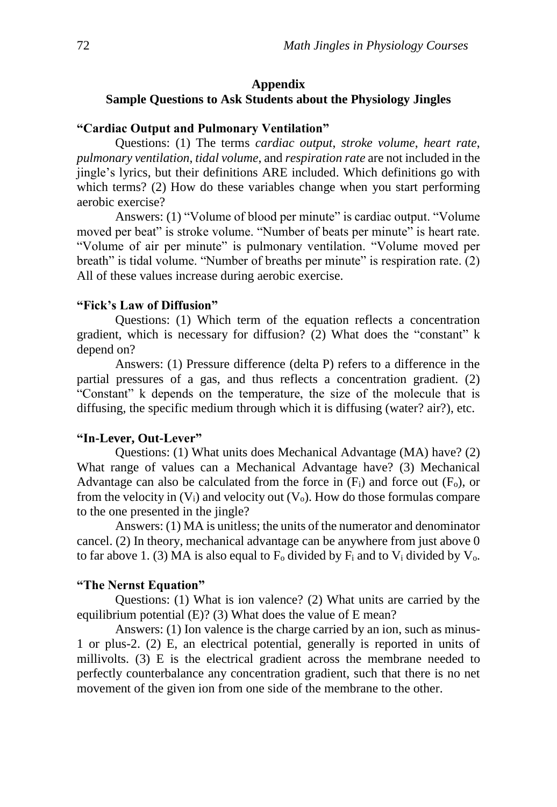# **Appendix Sample Questions to Ask Students about the Physiology Jingles**

#### **"Cardiac Output and Pulmonary Ventilation"**

Questions: (1) The terms *cardiac output*, *stroke volume*, *heart rate*, *pulmonary ventilation*, *tidal volume*, and *respiration rate* are not included in the jingle's lyrics, but their definitions ARE included. Which definitions go with which terms? (2) How do these variables change when you start performing aerobic exercise?

Answers: (1) "Volume of blood per minute" is cardiac output. "Volume moved per beat" is stroke volume. "Number of beats per minute" is heart rate. "Volume of air per minute" is pulmonary ventilation. "Volume moved per breath" is tidal volume. "Number of breaths per minute" is respiration rate. (2) All of these values increase during aerobic exercise.

## **"Fick's Law of Diffusion"**

Questions: (1) Which term of the equation reflects a concentration gradient, which is necessary for diffusion? (2) What does the "constant" k depend on?

Answers: (1) Pressure difference (delta P) refers to a difference in the partial pressures of a gas, and thus reflects a concentration gradient. (2) "Constant" k depends on the temperature, the size of the molecule that is diffusing, the specific medium through which it is diffusing (water? air?), etc.

### **"In-Lever, Out-Lever"**

Questions: (1) What units does Mechanical Advantage (MA) have? (2) What range of values can a Mechanical Advantage have? (3) Mechanical Advantage can also be calculated from the force in  $(F_i)$  and force out  $(F_o)$ , or from the velocity in  $(V_i)$  and velocity out  $(V_o)$ . How do those formulas compare to the one presented in the jingle?

Answers: (1) MA is unitless; the units of the numerator and denominator cancel. (2) In theory, mechanical advantage can be anywhere from just above 0 to far above 1. (3) MA is also equal to  $F_0$  divided by  $F_i$  and to  $V_i$  divided by  $V_0$ .

# **"The Nernst Equation"**

Questions: (1) What is ion valence? (2) What units are carried by the equilibrium potential (E)? (3) What does the value of E mean?

Answers: (1) Ion valence is the charge carried by an ion, such as minus-1 or plus-2. (2) E, an electrical potential, generally is reported in units of millivolts. (3) E is the electrical gradient across the membrane needed to perfectly counterbalance any concentration gradient, such that there is no net movement of the given ion from one side of the membrane to the other.